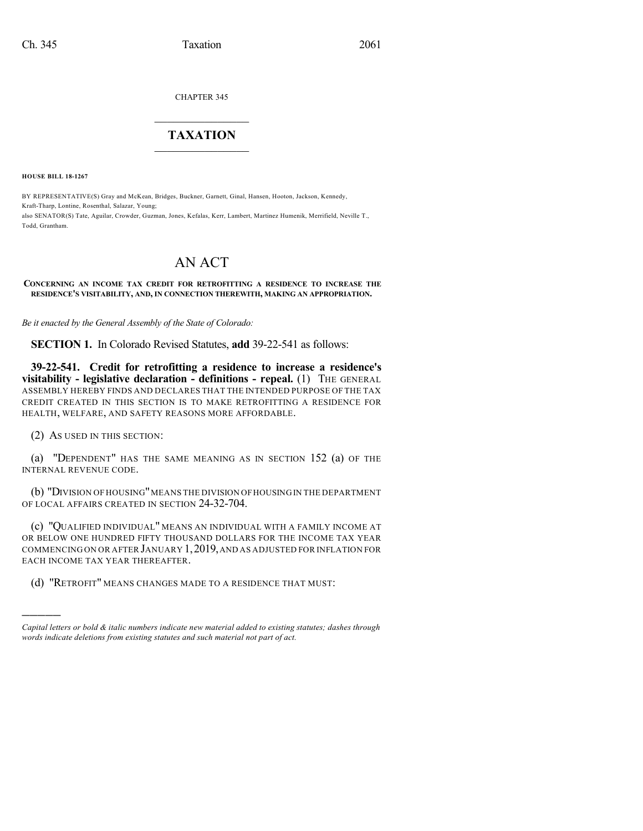CHAPTER 345

## $\mathcal{L}_\text{max}$  . The set of the set of the set of the set of the set of the set of the set of the set of the set of the set of the set of the set of the set of the set of the set of the set of the set of the set of the set **TAXATION**  $\_$

**HOUSE BILL 18-1267**

BY REPRESENTATIVE(S) Gray and McKean, Bridges, Buckner, Garnett, Ginal, Hansen, Hooton, Jackson, Kennedy, Kraft-Tharp, Lontine, Rosenthal, Salazar, Young; also SENATOR(S) Tate, Aguilar, Crowder, Guzman, Jones, Kefalas, Kerr, Lambert, Martinez Humenik, Merrifield, Neville T., Todd, Grantham.

## AN ACT

## **CONCERNING AN INCOME TAX CREDIT FOR RETROFITTING A RESIDENCE TO INCREASE THE RESIDENCE'S VISITABILITY, AND, IN CONNECTION THEREWITH, MAKING AN APPROPRIATION.**

*Be it enacted by the General Assembly of the State of Colorado:*

**SECTION 1.** In Colorado Revised Statutes, **add** 39-22-541 as follows:

**39-22-541. Credit for retrofitting a residence to increase a residence's visitability - legislative declaration - definitions - repeal.** (1) THE GENERAL ASSEMBLY HEREBY FINDS AND DECLARES THAT THE INTENDED PURPOSE OF THE TAX CREDIT CREATED IN THIS SECTION IS TO MAKE RETROFITTING A RESIDENCE FOR HEALTH, WELFARE, AND SAFETY REASONS MORE AFFORDABLE.

(2) AS USED IN THIS SECTION:

)))))

(a) "DEPENDENT" HAS THE SAME MEANING AS IN SECTION 152 (a) OF THE INTERNAL REVENUE CODE.

(b) "DIVISION OF HOUSING" MEANS THE DIVISION OF HOUSING IN THE DEPARTMENT OF LOCAL AFFAIRS CREATED IN SECTION 24-32-704.

(c) "QUALIFIED INDIVIDUAL" MEANS AN INDIVIDUAL WITH A FAMILY INCOME AT OR BELOW ONE HUNDRED FIFTY THOUSAND DOLLARS FOR THE INCOME TAX YEAR COMMENCING ON OR AFTER JANUARY 1,2019,AND AS ADJUSTED FOR INFLATION FOR EACH INCOME TAX YEAR THEREAFTER.

(d) "RETROFIT" MEANS CHANGES MADE TO A RESIDENCE THAT MUST:

*Capital letters or bold & italic numbers indicate new material added to existing statutes; dashes through words indicate deletions from existing statutes and such material not part of act.*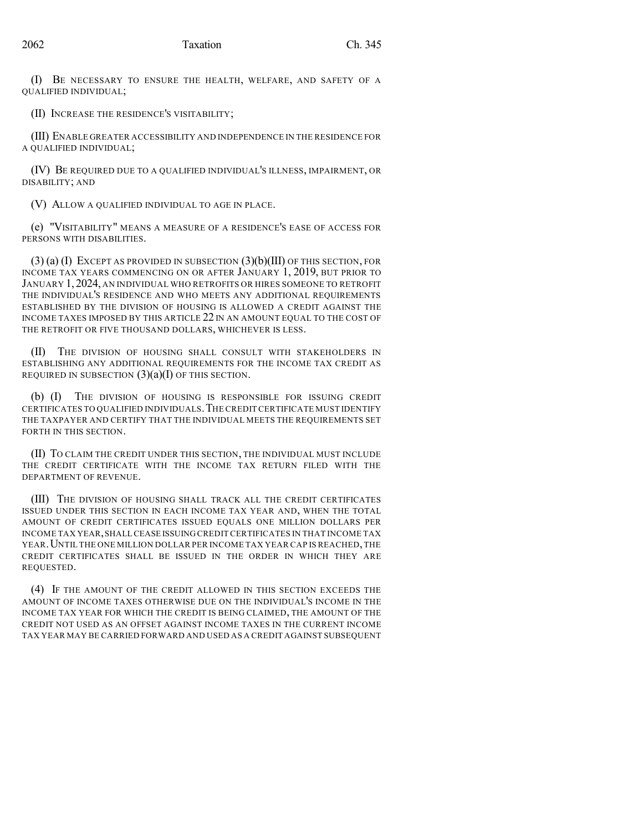(I) BE NECESSARY TO ENSURE THE HEALTH, WELFARE, AND SAFETY OF A QUALIFIED INDIVIDUAL;

(II) INCREASE THE RESIDENCE'S VISITABILITY;

(III) ENABLE GREATER ACCESSIBILITY AND INDEPENDENCE IN THE RESIDENCE FOR A QUALIFIED INDIVIDUAL;

(IV) BE REQUIRED DUE TO A QUALIFIED INDIVIDUAL'S ILLNESS, IMPAIRMENT, OR DISABILITY; AND

(V) ALLOW A QUALIFIED INDIVIDUAL TO AGE IN PLACE.

(e) "VISITABILITY" MEANS A MEASURE OF A RESIDENCE'S EASE OF ACCESS FOR PERSONS WITH DISABILITIES.

 $(3)$  (a) (I) EXCEPT AS PROVIDED IN SUBSECTION  $(3)$ (b)(III) OF THIS SECTION, FOR INCOME TAX YEARS COMMENCING ON OR AFTER JANUARY 1, 2019, BUT PRIOR TO JANUARY 1, 2024, AN INDIVIDUAL WHO RETROFITS OR HIRES SOMEONE TO RETROFIT THE INDIVIDUAL'S RESIDENCE AND WHO MEETS ANY ADDITIONAL REQUIREMENTS ESTABLISHED BY THE DIVISION OF HOUSING IS ALLOWED A CREDIT AGAINST THE INCOME TAXES IMPOSED BY THIS ARTICLE 22 IN AN AMOUNT EQUAL TO THE COST OF THE RETROFIT OR FIVE THOUSAND DOLLARS, WHICHEVER IS LESS.

THE DIVISION OF HOUSING SHALL CONSULT WITH STAKEHOLDERS IN ESTABLISHING ANY ADDITIONAL REQUIREMENTS FOR THE INCOME TAX CREDIT AS REQUIRED IN SUBSECTION  $(3)(a)(I)$  OF THIS SECTION.

(b) (I) THE DIVISION OF HOUSING IS RESPONSIBLE FOR ISSUING CREDIT CERTIFICATES TO QUALIFIED INDIVIDUALS.THE CREDIT CERTIFICATE MUST IDENTIFY THE TAXPAYER AND CERTIFY THAT THE INDIVIDUAL MEETS THE REQUIREMENTS SET FORTH IN THIS SECTION.

(II) TO CLAIM THE CREDIT UNDER THIS SECTION, THE INDIVIDUAL MUST INCLUDE THE CREDIT CERTIFICATE WITH THE INCOME TAX RETURN FILED WITH THE DEPARTMENT OF REVENUE.

(III) THE DIVISION OF HOUSING SHALL TRACK ALL THE CREDIT CERTIFICATES ISSUED UNDER THIS SECTION IN EACH INCOME TAX YEAR AND, WHEN THE TOTAL AMOUNT OF CREDIT CERTIFICATES ISSUED EQUALS ONE MILLION DOLLARS PER INCOME TAX YEAR,SHALL CEASE ISSUING CREDIT CERTIFICATES IN THAT INCOME TAX YEAR. UNTIL THE ONE MILLION DOLLAR PER INCOME TAX YEAR CAP IS REACHED, THE CREDIT CERTIFICATES SHALL BE ISSUED IN THE ORDER IN WHICH THEY ARE REQUESTED.

(4) IF THE AMOUNT OF THE CREDIT ALLOWED IN THIS SECTION EXCEEDS THE AMOUNT OF INCOME TAXES OTHERWISE DUE ON THE INDIVIDUAL'S INCOME IN THE INCOME TAX YEAR FOR WHICH THE CREDIT IS BEING CLAIMED, THE AMOUNT OF THE CREDIT NOT USED AS AN OFFSET AGAINST INCOME TAXES IN THE CURRENT INCOME TAX YEAR MAY BE CARRIED FORWARD AND USED AS A CREDIT AGAINST SUBSEQUENT